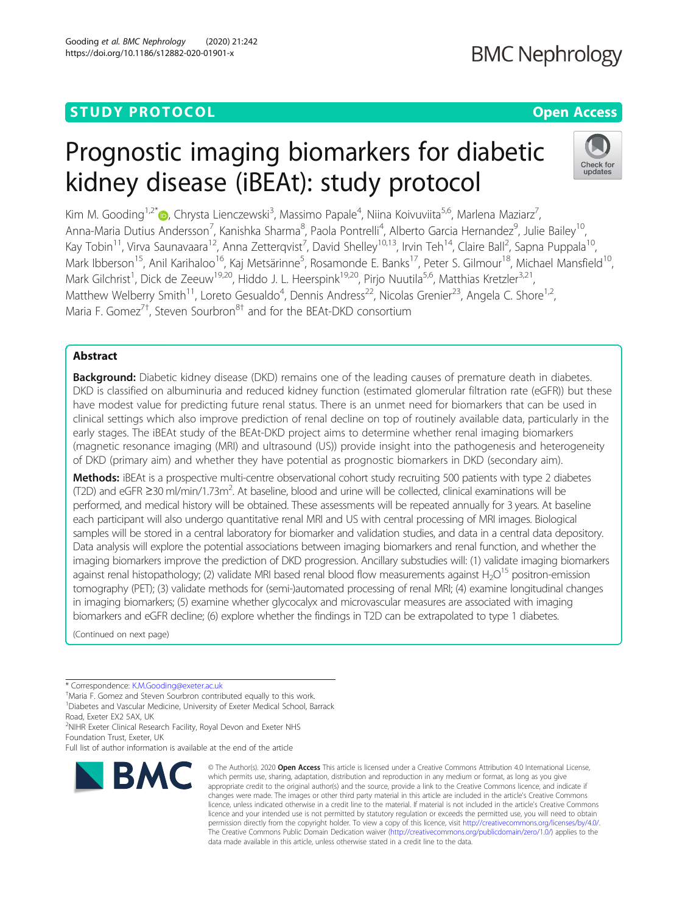### **STUDY PROTOCOL CONSUMING THE RESERVE ACCESS**

## **BMC Nephrology**

# Prognostic imaging biomarkers for diabetic kidney disease (iBEAt): study protocol



Kim M. Gooding<sup>1[,](http://orcid.org/0000-0002-1825-9825)2\*</sup>®, Chrysta Lienczewski<sup>3</sup>, Massimo Papale<sup>4</sup>, Niina Koivuviita<sup>5,6</sup>, Marlena Maziarz<sup>7</sup> , Anna-Maria Dutius Andersson<sup>7</sup>, Kanishka Sharma<sup>8</sup>, Paola Pontrelli<sup>4</sup>, Alberto Garcia Hernandez<sup>9</sup>, Julie Bailey<sup>10</sup>, Kay Tobin<sup>11</sup>, Virva Saunavaara<sup>12</sup>, Anna Zetterqvist<sup>7</sup>, David Shelley<sup>10,13</sup>, Irvin Teh<sup>14</sup>, Claire Ball<sup>2</sup>, Sapna Puppala<sup>10</sup>, Mark Ibberson<sup>15</sup>, Anil Karihaloo<sup>16</sup>, Kaj Metsärinne<sup>5</sup>, Rosamonde E. Banks<sup>17</sup>, Peter S. Gilmour<sup>18</sup>, Michael Mansfield<sup>10</sup>, Mark Gilchrist<sup>1</sup>, Dick de Zeeuw<sup>19,20</sup>, Hiddo J. L. Heerspink<sup>19,20</sup>, Pirjo Nuutila<sup>5,6</sup>, Matthias Kretzler<sup>3,21</sup>, Matthew Welberry Smith<sup>11</sup>, Loreto Gesualdo<sup>4</sup>, Dennis Andress<sup>22</sup>, Nicolas Grenier<sup>23</sup>, Angela C. Shore<sup>1,2</sup>, Maria F. Gomez<sup>7†</sup>, Steven Sourbron<sup>8†</sup> and for the BEAt-DKD consortium

### Abstract

Background: Diabetic kidney disease (DKD) remains one of the leading causes of premature death in diabetes. DKD is classified on albuminuria and reduced kidney function (estimated glomerular filtration rate (eGFR)) but these have modest value for predicting future renal status. There is an unmet need for biomarkers that can be used in clinical settings which also improve prediction of renal decline on top of routinely available data, particularly in the early stages. The iBEAt study of the BEAt-DKD project aims to determine whether renal imaging biomarkers (magnetic resonance imaging (MRI) and ultrasound (US)) provide insight into the pathogenesis and heterogeneity of DKD (primary aim) and whether they have potential as prognostic biomarkers in DKD (secondary aim).

Methods: iBEAt is a prospective multi-centre observational cohort study recruiting 500 patients with type 2 diabetes (T2D) and eGFR ≥30 ml/min/1.73m2 . At baseline, blood and urine will be collected, clinical examinations will be performed, and medical history will be obtained. These assessments will be repeated annually for 3 years. At baseline each participant will also undergo quantitative renal MRI and US with central processing of MRI images. Biological samples will be stored in a central laboratory for biomarker and validation studies, and data in a central data depository. Data analysis will explore the potential associations between imaging biomarkers and renal function, and whether the imaging biomarkers improve the prediction of DKD progression. Ancillary substudies will: (1) validate imaging biomarkers against renal histopathology; (2) validate MRI based renal blood flow measurements against H<sub>2</sub>O<sup>15</sup> positron-emission tomography (PET); (3) validate methods for (semi-)automated processing of renal MRI; (4) examine longitudinal changes in imaging biomarkers; (5) examine whether glycocalyx and microvascular measures are associated with imaging biomarkers and eGFR decline; (6) explore whether the findings in T2D can be extrapolated to type 1 diabetes.

(Continued on next page)

Maria F. Gomez and Steven Sourbron contributed equally to this work. <sup>1</sup>Diabetes and Vascular Medicine, University of Exeter Medical School, Barrack

Road, Exeter EX2 5AX, UK <sup>2</sup>NIHR Exeter Clinical Research Facility, Royal Devon and Exeter NHS

Foundation Trust, Exeter, UK

Full list of author information is available at the end of the article



<sup>©</sup> The Author(s), 2020 **Open Access** This article is licensed under a Creative Commons Attribution 4.0 International License, which permits use, sharing, adaptation, distribution and reproduction in any medium or format, as long as you give appropriate credit to the original author(s) and the source, provide a link to the Creative Commons licence, and indicate if changes were made. The images or other third party material in this article are included in the article's Creative Commons licence, unless indicated otherwise in a credit line to the material. If material is not included in the article's Creative Commons licence and your intended use is not permitted by statutory regulation or exceeds the permitted use, you will need to obtain permission directly from the copyright holder. To view a copy of this licence, visit [http://creativecommons.org/licenses/by/4.0/.](http://creativecommons.org/licenses/by/4.0/) The Creative Commons Public Domain Dedication waiver [\(http://creativecommons.org/publicdomain/zero/1.0/](http://creativecommons.org/publicdomain/zero/1.0/)) applies to the data made available in this article, unless otherwise stated in a credit line to the data.

<sup>\*</sup> Correspondence: [K.M.Gooding@exeter.ac.uk](mailto:K.M.Gooding@exeter.ac.uk) †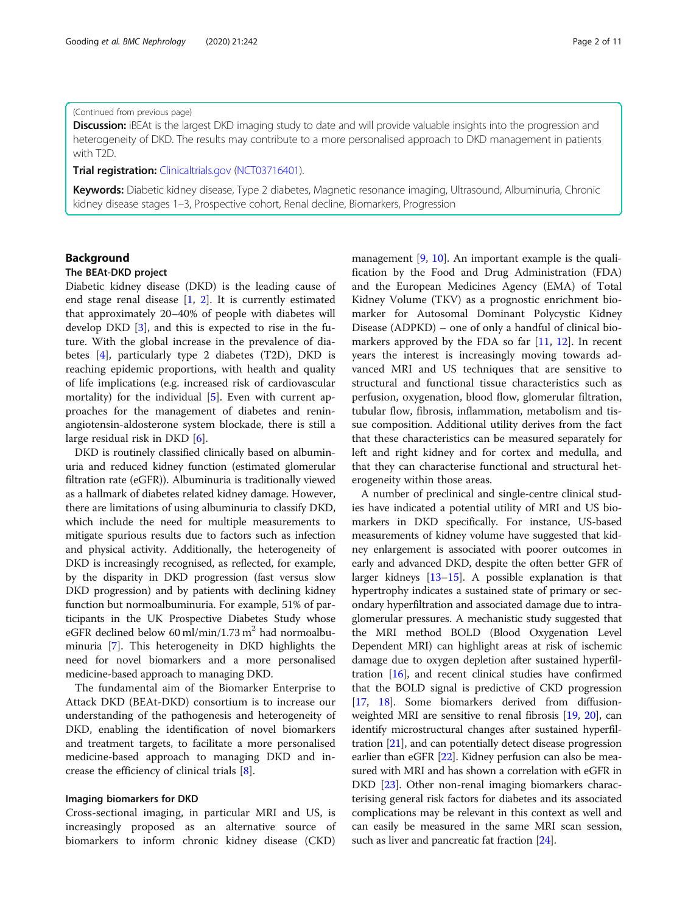#### (Continued from previous page)

Discussion: iBEAt is the largest DKD imaging study to date and will provide valuable insights into the progression and heterogeneity of DKD. The results may contribute to a more personalised approach to DKD management in patients with T2D.

#### Trial registration: [Clinicaltrials.gov](http://clinicaltrials.gov) [\(NCT03716401](https://clinicaltrials.gov/ct2/show/NCT03716401?term=iBEAT&draw=2&rank=2)).

Keywords: Diabetic kidney disease, Type 2 diabetes, Magnetic resonance imaging, Ultrasound, Albuminuria, Chronic kidney disease stages 1–3, Prospective cohort, Renal decline, Biomarkers, Progression

#### Background

#### The BEAt-DKD project

Diabetic kidney disease (DKD) is the leading cause of end stage renal disease [\[1,](#page-9-0) [2](#page-9-0)]. It is currently estimated that approximately 20–40% of people with diabetes will develop DKD [[3](#page-9-0)], and this is expected to rise in the future. With the global increase in the prevalence of diabetes [\[4](#page-9-0)], particularly type 2 diabetes (T2D), DKD is reaching epidemic proportions, with health and quality of life implications (e.g. increased risk of cardiovascular mortality) for the individual [\[5](#page-9-0)]. Even with current approaches for the management of diabetes and reninangiotensin-aldosterone system blockade, there is still a large residual risk in DKD [[6\]](#page-9-0).

DKD is routinely classified clinically based on albuminuria and reduced kidney function (estimated glomerular filtration rate (eGFR)). Albuminuria is traditionally viewed as a hallmark of diabetes related kidney damage. However, there are limitations of using albuminuria to classify DKD, which include the need for multiple measurements to mitigate spurious results due to factors such as infection and physical activity. Additionally, the heterogeneity of DKD is increasingly recognised, as reflected, for example, by the disparity in DKD progression (fast versus slow DKD progression) and by patients with declining kidney function but normoalbuminuria. For example, 51% of participants in the UK Prospective Diabetes Study whose eGFR declined below 60 ml/min/1.73 m<sup>2</sup> had normoalbuminuria [[7](#page-9-0)]. This heterogeneity in DKD highlights the need for novel biomarkers and a more personalised medicine-based approach to managing DKD.

The fundamental aim of the Biomarker Enterprise to Attack DKD (BEAt-DKD) consortium is to increase our understanding of the pathogenesis and heterogeneity of DKD, enabling the identification of novel biomarkers and treatment targets, to facilitate a more personalised medicine-based approach to managing DKD and increase the efficiency of clinical trials [[8\]](#page-9-0).

#### Imaging biomarkers for DKD

Cross-sectional imaging, in particular MRI and US, is increasingly proposed as an alternative source of biomarkers to inform chronic kidney disease (CKD) management [[9,](#page-9-0) [10\]](#page-9-0). An important example is the qualification by the Food and Drug Administration (FDA) and the European Medicines Agency (EMA) of Total Kidney Volume (TKV) as a prognostic enrichment biomarker for Autosomal Dominant Polycystic Kidney Disease (ADPKD) – one of only a handful of clinical biomarkers approved by the FDA so far [\[11,](#page-9-0) [12\]](#page-9-0). In recent years the interest is increasingly moving towards advanced MRI and US techniques that are sensitive to structural and functional tissue characteristics such as perfusion, oxygenation, blood flow, glomerular filtration, tubular flow, fibrosis, inflammation, metabolism and tissue composition. Additional utility derives from the fact that these characteristics can be measured separately for left and right kidney and for cortex and medulla, and that they can characterise functional and structural heterogeneity within those areas.

A number of preclinical and single-centre clinical studies have indicated a potential utility of MRI and US biomarkers in DKD specifically. For instance, US-based measurements of kidney volume have suggested that kidney enlargement is associated with poorer outcomes in early and advanced DKD, despite the often better GFR of larger kidneys [\[13](#page-9-0)–[15](#page-9-0)]. A possible explanation is that hypertrophy indicates a sustained state of primary or secondary hyperfiltration and associated damage due to intraglomerular pressures. A mechanistic study suggested that the MRI method BOLD (Blood Oxygenation Level Dependent MRI) can highlight areas at risk of ischemic damage due to oxygen depletion after sustained hyperfiltration [[16](#page-9-0)], and recent clinical studies have confirmed that the BOLD signal is predictive of CKD progression [[17](#page-9-0), [18](#page-9-0)]. Some biomarkers derived from diffusionweighted MRI are sensitive to renal fibrosis [[19](#page-9-0), [20\]](#page-9-0), can identify microstructural changes after sustained hyperfiltration [\[21](#page-9-0)], and can potentially detect disease progression earlier than eGFR [[22\]](#page-9-0). Kidney perfusion can also be measured with MRI and has shown a correlation with eGFR in DKD [[23](#page-9-0)]. Other non-renal imaging biomarkers characterising general risk factors for diabetes and its associated complications may be relevant in this context as well and can easily be measured in the same MRI scan session, such as liver and pancreatic fat fraction [\[24\]](#page-9-0).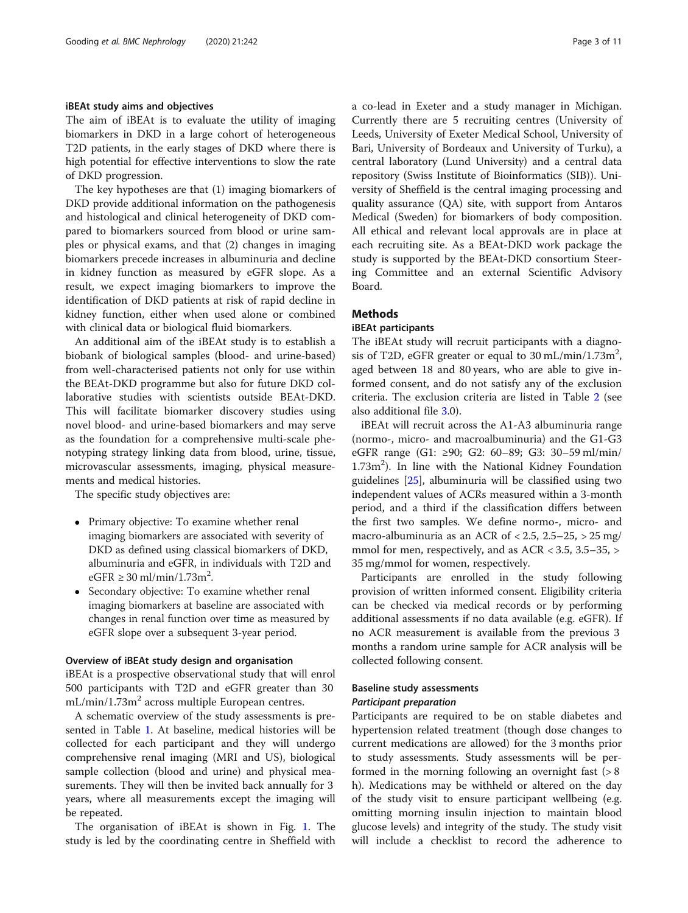#### iBEAt study aims and objectives

The aim of iBEAt is to evaluate the utility of imaging biomarkers in DKD in a large cohort of heterogeneous T2D patients, in the early stages of DKD where there is high potential for effective interventions to slow the rate of DKD progression.

The key hypotheses are that (1) imaging biomarkers of DKD provide additional information on the pathogenesis and histological and clinical heterogeneity of DKD compared to biomarkers sourced from blood or urine samples or physical exams, and that (2) changes in imaging biomarkers precede increases in albuminuria and decline in kidney function as measured by eGFR slope. As a result, we expect imaging biomarkers to improve the identification of DKD patients at risk of rapid decline in kidney function, either when used alone or combined with clinical data or biological fluid biomarkers.

An additional aim of the iBEAt study is to establish a biobank of biological samples (blood- and urine-based) from well-characterised patients not only for use within the BEAt-DKD programme but also for future DKD collaborative studies with scientists outside BEAt-DKD. This will facilitate biomarker discovery studies using novel blood- and urine-based biomarkers and may serve as the foundation for a comprehensive multi-scale phenotyping strategy linking data from blood, urine, tissue, microvascular assessments, imaging, physical measurements and medical histories.

The specific study objectives are:

- Primary objective: To examine whether renal imaging biomarkers are associated with severity of DKD as defined using classical biomarkers of DKD, albuminuria and eGFR, in individuals with T2D and  $eGFR \geq 30 \text{ ml/min}/1.73 \text{ m}^2$ .
- Secondary objective: To examine whether renal imaging biomarkers at baseline are associated with changes in renal function over time as measured by eGFR slope over a subsequent 3-year period.

#### Overview of iBEAt study design and organisation

iBEAt is a prospective observational study that will enrol 500 participants with T2D and eGFR greater than 30  $mL/min/1.73m<sup>2</sup>$  across multiple European centres.

A schematic overview of the study assessments is presented in Table [1](#page-3-0). At baseline, medical histories will be collected for each participant and they will undergo comprehensive renal imaging (MRI and US), biological sample collection (blood and urine) and physical measurements. They will then be invited back annually for 3 years, where all measurements except the imaging will be repeated.

The organisation of iBEAt is shown in Fig. [1.](#page-3-0) The study is led by the coordinating centre in Sheffield with a co-lead in Exeter and a study manager in Michigan. Currently there are 5 recruiting centres (University of Leeds, University of Exeter Medical School, University of Bari, University of Bordeaux and University of Turku), a central laboratory (Lund University) and a central data repository (Swiss Institute of Bioinformatics (SIB)). University of Sheffield is the central imaging processing and quality assurance (QA) site, with support from Antaros Medical (Sweden) for biomarkers of body composition. All ethical and relevant local approvals are in place at each recruiting site. As a BEAt-DKD work package the study is supported by the BEAt-DKD consortium Steering Committee and an external Scientific Advisory Board.

#### **Methods**

#### iBEAt participants

The iBEAt study will recruit participants with a diagnosis of T2D, eGFR greater or equal to  $30 \text{ mL/min}/1.73 \text{m}^2$ , aged between 18 and 80 years, who are able to give informed consent, and do not satisfy any of the exclusion criteria. The exclusion criteria are listed in Table [2](#page-4-0) (see also additional file [3](#page-8-0).0).

iBEAt will recruit across the A1-A3 albuminuria range (normo-, micro- and macroalbuminuria) and the G1-G3 eGFR range (G1: ≥90; G2: 60–89; G3: 30–59 ml/min/ 1.73m<sup>2</sup>). In line with the National Kidney Foundation guidelines [[25\]](#page-9-0), albuminuria will be classified using two independent values of ACRs measured within a 3-month period, and a third if the classification differs between the first two samples. We define normo-, micro- and macro-albuminuria as an ACR of  $< 2.5$ ,  $2.5-25$ ,  $> 25$  mg/ mmol for men, respectively, and as  $ACR < 3.5$ ,  $3.5-35$ ,  $>$ 35 mg/mmol for women, respectively.

Participants are enrolled in the study following provision of written informed consent. Eligibility criteria can be checked via medical records or by performing additional assessments if no data available (e.g. eGFR). If no ACR measurement is available from the previous 3 months a random urine sample for ACR analysis will be collected following consent.

#### Baseline study assessments Participant preparation

Participants are required to be on stable diabetes and hypertension related treatment (though dose changes to current medications are allowed) for the 3 months prior to study assessments. Study assessments will be performed in the morning following an overnight fast  $( > 8$ h). Medications may be withheld or altered on the day of the study visit to ensure participant wellbeing (e.g. omitting morning insulin injection to maintain blood glucose levels) and integrity of the study. The study visit will include a checklist to record the adherence to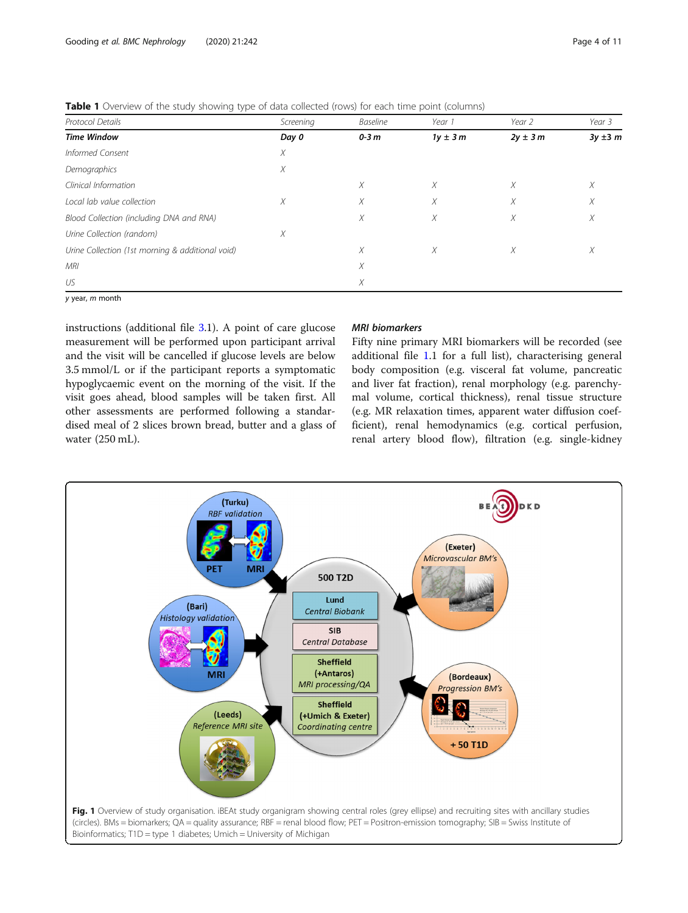<span id="page-3-0"></span>

|  |  |  |  |  | Table 1 Overview of the study showing type of data collected (rows) for each time point (columns) |  |  |  |
|--|--|--|--|--|---------------------------------------------------------------------------------------------------|--|--|--|
|--|--|--|--|--|---------------------------------------------------------------------------------------------------|--|--|--|

| Protocol Details                                 | Screening | <b>Baseline</b> | Year 1      | Year 2      | Year 3       |
|--------------------------------------------------|-----------|-----------------|-------------|-------------|--------------|
| <b>Time Window</b>                               | Day 0     | $0-3m$          | $1y \pm 3m$ | $2y \pm 3m$ | $3y \pm 3$ m |
| Informed Consent                                 | X         |                 |             |             |              |
| Demographics                                     | Х         |                 |             |             |              |
| Clinical Information                             |           | X               | X           | X           | Χ            |
| Local lab value collection                       | Χ         | X               | X           | X           | Χ            |
| Blood Collection (including DNA and RNA)         |           | X               | X           | X           | Χ            |
| Urine Collection (random)                        | X         |                 |             |             |              |
| Urine Collection (1st morning & additional void) |           | X               | X           | X           | Χ            |
| MRI                                              |           | Х               |             |             |              |
| US                                               |           | X               |             |             |              |

y year, m month

instructions (additional file [3.](#page-8-0)1). A point of care glucose measurement will be performed upon participant arrival and the visit will be cancelled if glucose levels are below 3.5 mmol/L or if the participant reports a symptomatic hypoglycaemic event on the morning of the visit. If the visit goes ahead, blood samples will be taken first. All other assessments are performed following a standardised meal of 2 slices brown bread, butter and a glass of water (250 mL).

#### MRI biomarkers

Fifty nine primary MRI biomarkers will be recorded (see additional file [1.](#page-7-0)1 for a full list), characterising general body composition (e.g. visceral fat volume, pancreatic and liver fat fraction), renal morphology (e.g. parenchymal volume, cortical thickness), renal tissue structure (e.g. MR relaxation times, apparent water diffusion coefficient), renal hemodynamics (e.g. cortical perfusion, renal artery blood flow), filtration (e.g. single-kidney

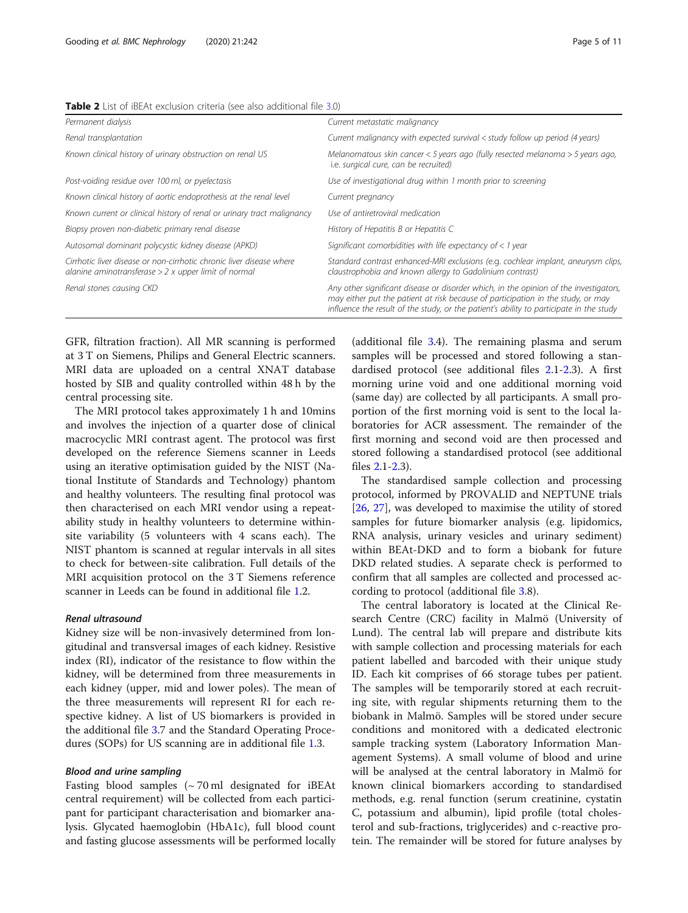<span id="page-4-0"></span>

| Table 2 List of iBEAt exclusion criteria (see also additional file 3.0) |  |
|-------------------------------------------------------------------------|--|
|-------------------------------------------------------------------------|--|

| Permanent dialysis                                                                                                            | Current metastatic malignancy                                                                                                                                                                                                                                        |  |  |  |
|-------------------------------------------------------------------------------------------------------------------------------|----------------------------------------------------------------------------------------------------------------------------------------------------------------------------------------------------------------------------------------------------------------------|--|--|--|
| Renal transplantation                                                                                                         | Current malignancy with expected survival $\lt$ study follow up period (4 years)                                                                                                                                                                                     |  |  |  |
| Known clinical history of urinary obstruction on renal US                                                                     | Melanomatous skin cancer < 5 years ago (fully resected melanoma > 5 years ago,<br>i.e. surgical cure, can be recruited)                                                                                                                                              |  |  |  |
| Post-voiding residue over 100 ml, or pyelectasis                                                                              | Use of investigational drug within 1 month prior to screening                                                                                                                                                                                                        |  |  |  |
| Known clinical history of aortic endoprothesis at the renal level                                                             | Current pregnancy                                                                                                                                                                                                                                                    |  |  |  |
| Known current or clinical history of renal or urinary tract malignancy                                                        | Use of antiretroviral medication                                                                                                                                                                                                                                     |  |  |  |
| Biopsy proven non-diabetic primary renal disease                                                                              | History of Hepatitis B or Hepatitis C                                                                                                                                                                                                                                |  |  |  |
| Autosomal dominant polycystic kidney disease (APKD)                                                                           | Significant comorbidities with life expectancy of $<$ 1 year                                                                                                                                                                                                         |  |  |  |
| Cirrhotic liver disease or non-cirrhotic chronic liver disease where<br>alanine aminotransferase $> 2x$ upper limit of normal | Standard contrast enhanced-MRI exclusions (e.g. cochlear implant, aneurysm clips,<br>claustrophobia and known allergy to Gadolinium contrast)                                                                                                                        |  |  |  |
| Renal stones causing CKD                                                                                                      | Any other significant disease or disorder which, in the opinion of the investigators,<br>may either put the patient at risk because of participation in the study, or may<br>influence the result of the study, or the patient's ability to participate in the study |  |  |  |

GFR, filtration fraction). All MR scanning is performed at 3 T on Siemens, Philips and General Electric scanners. MRI data are uploaded on a central XNAT database hosted by SIB and quality controlled within 48 h by the central processing site.

The MRI protocol takes approximately 1 h and 10mins and involves the injection of a quarter dose of clinical macrocyclic MRI contrast agent. The protocol was first developed on the reference Siemens scanner in Leeds using an iterative optimisation guided by the NIST (National Institute of Standards and Technology) phantom and healthy volunteers. The resulting final protocol was then characterised on each MRI vendor using a repeatability study in healthy volunteers to determine withinsite variability (5 volunteers with 4 scans each). The NIST phantom is scanned at regular intervals in all sites to check for between-site calibration. Full details of the MRI acquisition protocol on the 3 T Siemens reference scanner in Leeds can be found in additional file [1](#page-7-0).2.

#### Renal ultrasound

Kidney size will be non-invasively determined from longitudinal and transversal images of each kidney. Resistive index (RI), indicator of the resistance to flow within the kidney, will be determined from three measurements in each kidney (upper, mid and lower poles). The mean of the three measurements will represent RI for each respective kidney. A list of US biomarkers is provided in the additional file [3](#page-8-0).7 and the Standard Operating Procedures (SOPs) for US scanning are in additional file [1](#page-7-0).3.

#### Blood and urine sampling

Fasting blood samples  $({\sim}70\,\text{ml}$  designated for iBEAt central requirement) will be collected from each participant for participant characterisation and biomarker analysis. Glycated haemoglobin (HbA1c), full blood count and fasting glucose assessments will be performed locally

(additional file [3](#page-8-0).4). The remaining plasma and serum samples will be processed and stored following a standardised protocol (see additional files [2](#page-8-0).1-[2.](#page-8-0)3). A first morning urine void and one additional morning void (same day) are collected by all participants. A small proportion of the first morning void is sent to the local laboratories for ACR assessment. The remainder of the first morning and second void are then processed and stored following a standardised protocol (see additional files [2.](#page-8-0)1[-2](#page-8-0).3).

The standardised sample collection and processing protocol, informed by PROVALID and NEPTUNE trials [[26,](#page-9-0) [27](#page-9-0)], was developed to maximise the utility of stored samples for future biomarker analysis (e.g. lipidomics, RNA analysis, urinary vesicles and urinary sediment) within BEAt-DKD and to form a biobank for future DKD related studies. A separate check is performed to confirm that all samples are collected and processed according to protocol (additional file [3](#page-8-0).8).

The central laboratory is located at the Clinical Research Centre (CRC) facility in Malmö (University of Lund). The central lab will prepare and distribute kits with sample collection and processing materials for each patient labelled and barcoded with their unique study ID. Each kit comprises of 66 storage tubes per patient. The samples will be temporarily stored at each recruiting site, with regular shipments returning them to the biobank in Malmö. Samples will be stored under secure conditions and monitored with a dedicated electronic sample tracking system (Laboratory Information Management Systems). A small volume of blood and urine will be analysed at the central laboratory in Malmö for known clinical biomarkers according to standardised methods, e.g. renal function (serum creatinine, cystatin C, potassium and albumin), lipid profile (total cholesterol and sub-fractions, triglycerides) and c-reactive protein. The remainder will be stored for future analyses by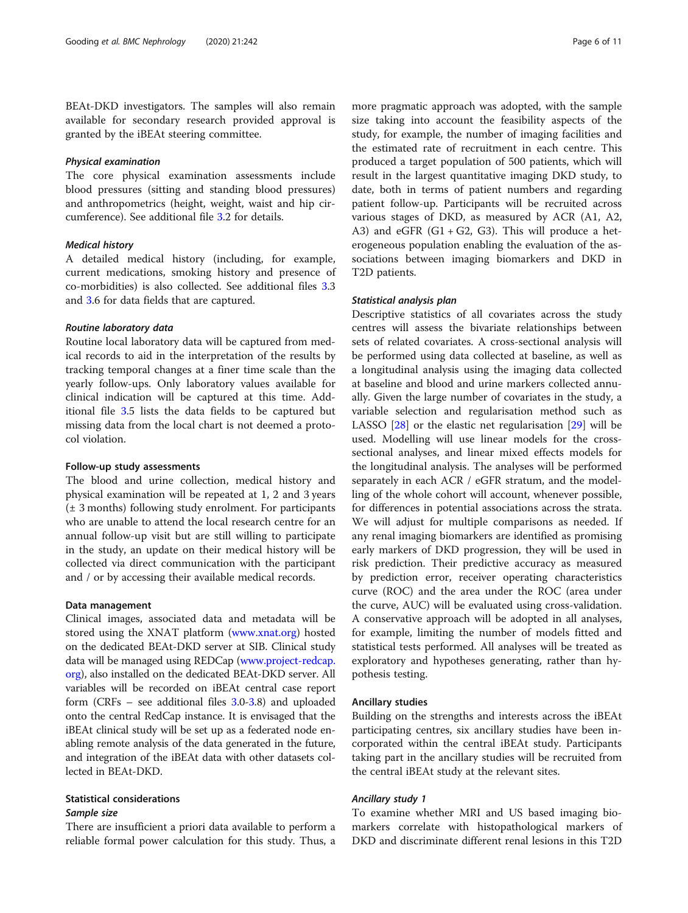BEAt-DKD investigators. The samples will also remain available for secondary research provided approval is granted by the iBEAt steering committee.

#### Physical examination

The core physical examination assessments include blood pressures (sitting and standing blood pressures) and anthropometrics (height, weight, waist and hip circumference). See additional file [3.](#page-8-0)2 for details.

#### Medical history

A detailed medical history (including, for example, current medications, smoking history and presence of co-morbidities) is also collected. See additional files [3](#page-8-0).3 and [3.](#page-8-0)6 for data fields that are captured.

#### Routine laboratory data

Routine local laboratory data will be captured from medical records to aid in the interpretation of the results by tracking temporal changes at a finer time scale than the yearly follow-ups. Only laboratory values available for clinical indication will be captured at this time. Additional file [3.](#page-8-0)5 lists the data fields to be captured but missing data from the local chart is not deemed a protocol violation.

#### Follow-up study assessments

The blood and urine collection, medical history and physical examination will be repeated at 1, 2 and 3 years (± 3 months) following study enrolment. For participants who are unable to attend the local research centre for an annual follow-up visit but are still willing to participate in the study, an update on their medical history will be collected via direct communication with the participant and / or by accessing their available medical records.

#### Data management

Clinical images, associated data and metadata will be stored using the XNAT platform ([www.xnat.org\)](http://www.xnat.org) hosted on the dedicated BEAt-DKD server at SIB. Clinical study data will be managed using REDCap [\(www.project-redcap.](http://www.project-redcap.org) [org\)](http://www.project-redcap.org), also installed on the dedicated BEAt-DKD server. All variables will be recorded on iBEAt central case report form (CRFs – see additional files [3](#page-8-0).0[-3](#page-8-0).8) and uploaded onto the central RedCap instance. It is envisaged that the iBEAt clinical study will be set up as a federated node enabling remote analysis of the data generated in the future, and integration of the iBEAt data with other datasets collected in BEAt-DKD.

#### Statistical considerations Sample size

There are insufficient a priori data available to perform a reliable formal power calculation for this study. Thus, a more pragmatic approach was adopted, with the sample size taking into account the feasibility aspects of the study, for example, the number of imaging facilities and the estimated rate of recruitment in each centre. This produced a target population of 500 patients, which will result in the largest quantitative imaging DKD study, to date, both in terms of patient numbers and regarding patient follow-up. Participants will be recruited across various stages of DKD, as measured by ACR (A1, A2, A3) and eGFR  $(G1 + G2, G3)$ . This will produce a heterogeneous population enabling the evaluation of the associations between imaging biomarkers and DKD in T2D patients.

#### Statistical analysis plan

Descriptive statistics of all covariates across the study centres will assess the bivariate relationships between sets of related covariates. A cross-sectional analysis will be performed using data collected at baseline, as well as a longitudinal analysis using the imaging data collected at baseline and blood and urine markers collected annually. Given the large number of covariates in the study, a variable selection and regularisation method such as LASSO [[28](#page-9-0)] or the elastic net regularisation [[29](#page-10-0)] will be used. Modelling will use linear models for the crosssectional analyses, and linear mixed effects models for the longitudinal analysis. The analyses will be performed separately in each ACR / eGFR stratum, and the modelling of the whole cohort will account, whenever possible, for differences in potential associations across the strata. We will adjust for multiple comparisons as needed. If any renal imaging biomarkers are identified as promising early markers of DKD progression, they will be used in risk prediction. Their predictive accuracy as measured by prediction error, receiver operating characteristics curve (ROC) and the area under the ROC (area under the curve, AUC) will be evaluated using cross-validation. A conservative approach will be adopted in all analyses, for example, limiting the number of models fitted and statistical tests performed. All analyses will be treated as exploratory and hypotheses generating, rather than hypothesis testing.

#### Ancillary studies

Building on the strengths and interests across the iBEAt participating centres, six ancillary studies have been incorporated within the central iBEAt study. Participants taking part in the ancillary studies will be recruited from the central iBEAt study at the relevant sites.

#### Ancillary study 1

To examine whether MRI and US based imaging biomarkers correlate with histopathological markers of DKD and discriminate different renal lesions in this T2D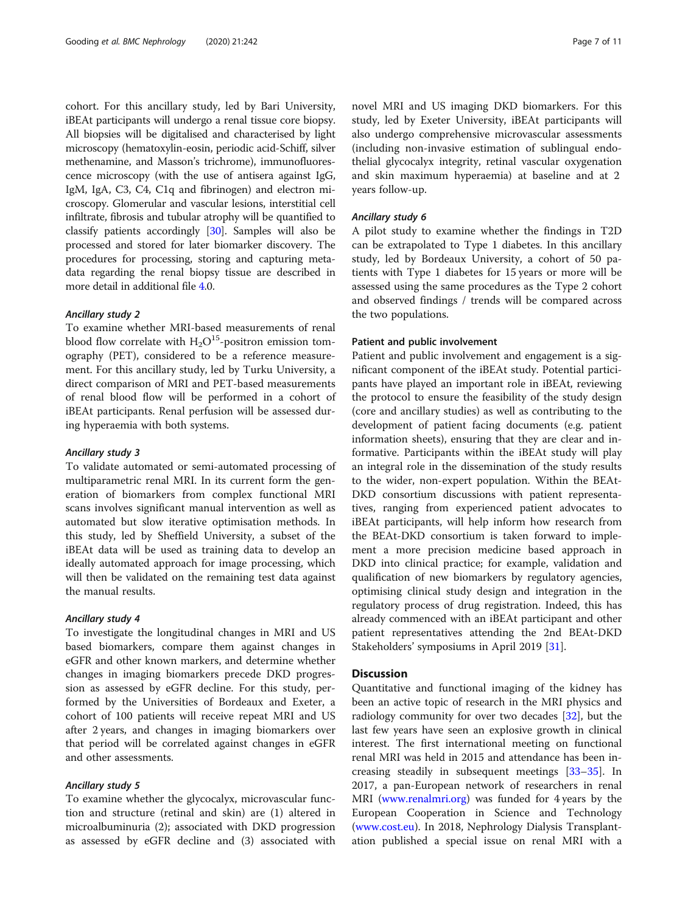cohort. For this ancillary study, led by Bari University, iBEAt participants will undergo a renal tissue core biopsy. All biopsies will be digitalised and characterised by light microscopy (hematoxylin-eosin, periodic acid-Schiff, silver methenamine, and Masson's trichrome), immunofluorescence microscopy (with the use of antisera against IgG, IgM, IgA, C3, C4, C1q and fibrinogen) and electron microscopy. Glomerular and vascular lesions, interstitial cell infiltrate, fibrosis and tubular atrophy will be quantified to classify patients accordingly [[30](#page-10-0)]. Samples will also be processed and stored for later biomarker discovery. The procedures for processing, storing and capturing metadata regarding the renal biopsy tissue are described in more detail in additional file [4.](#page-8-0)0.

#### Ancillary study 2

To examine whether MRI-based measurements of renal blood flow correlate with  $H_2O^{15}$ -positron emission tomography (PET), considered to be a reference measurement. For this ancillary study, led by Turku University, a direct comparison of MRI and PET-based measurements of renal blood flow will be performed in a cohort of iBEAt participants. Renal perfusion will be assessed during hyperaemia with both systems.

#### Ancillary study 3

To validate automated or semi-automated processing of multiparametric renal MRI. In its current form the generation of biomarkers from complex functional MRI scans involves significant manual intervention as well as automated but slow iterative optimisation methods. In this study, led by Sheffield University, a subset of the iBEAt data will be used as training data to develop an ideally automated approach for image processing, which will then be validated on the remaining test data against the manual results.

#### Ancillary study 4

To investigate the longitudinal changes in MRI and US based biomarkers, compare them against changes in eGFR and other known markers, and determine whether changes in imaging biomarkers precede DKD progression as assessed by eGFR decline. For this study, performed by the Universities of Bordeaux and Exeter, a cohort of 100 patients will receive repeat MRI and US after 2 years, and changes in imaging biomarkers over that period will be correlated against changes in eGFR and other assessments.

#### Ancillary study 5

To examine whether the glycocalyx, microvascular function and structure (retinal and skin) are (1) altered in microalbuminuria (2); associated with DKD progression as assessed by eGFR decline and (3) associated with novel MRI and US imaging DKD biomarkers. For this study, led by Exeter University, iBEAt participants will also undergo comprehensive microvascular assessments (including non-invasive estimation of sublingual endothelial glycocalyx integrity, retinal vascular oxygenation and skin maximum hyperaemia) at baseline and at 2 years follow-up.

#### Ancillary study 6

A pilot study to examine whether the findings in T2D can be extrapolated to Type 1 diabetes. In this ancillary study, led by Bordeaux University, a cohort of 50 patients with Type 1 diabetes for 15 years or more will be assessed using the same procedures as the Type 2 cohort and observed findings / trends will be compared across the two populations.

#### Patient and public involvement

Patient and public involvement and engagement is a significant component of the iBEAt study. Potential participants have played an important role in iBEAt, reviewing the protocol to ensure the feasibility of the study design (core and ancillary studies) as well as contributing to the development of patient facing documents (e.g. patient information sheets), ensuring that they are clear and informative. Participants within the iBEAt study will play an integral role in the dissemination of the study results to the wider, non-expert population. Within the BEAt-DKD consortium discussions with patient representatives, ranging from experienced patient advocates to iBEAt participants, will help inform how research from the BEAt-DKD consortium is taken forward to implement a more precision medicine based approach in DKD into clinical practice; for example, validation and qualification of new biomarkers by regulatory agencies, optimising clinical study design and integration in the regulatory process of drug registration. Indeed, this has already commenced with an iBEAt participant and other patient representatives attending the 2nd BEAt-DKD Stakeholders' symposiums in April 2019 [\[31](#page-10-0)].

#### **Discussion**

Quantitative and functional imaging of the kidney has been an active topic of research in the MRI physics and radiology community for over two decades [[32\]](#page-10-0), but the last few years have seen an explosive growth in clinical interest. The first international meeting on functional renal MRI was held in 2015 and attendance has been increasing steadily in subsequent meetings [[33](#page-10-0)–[35](#page-10-0)]. In 2017, a pan-European network of researchers in renal MRI ([www.renalmri.org\)](http://www.renalmri.org) was funded for 4 years by the European Cooperation in Science and Technology ([www.cost.eu\)](http://www.cost.eu). In 2018, Nephrology Dialysis Transplantation published a special issue on renal MRI with a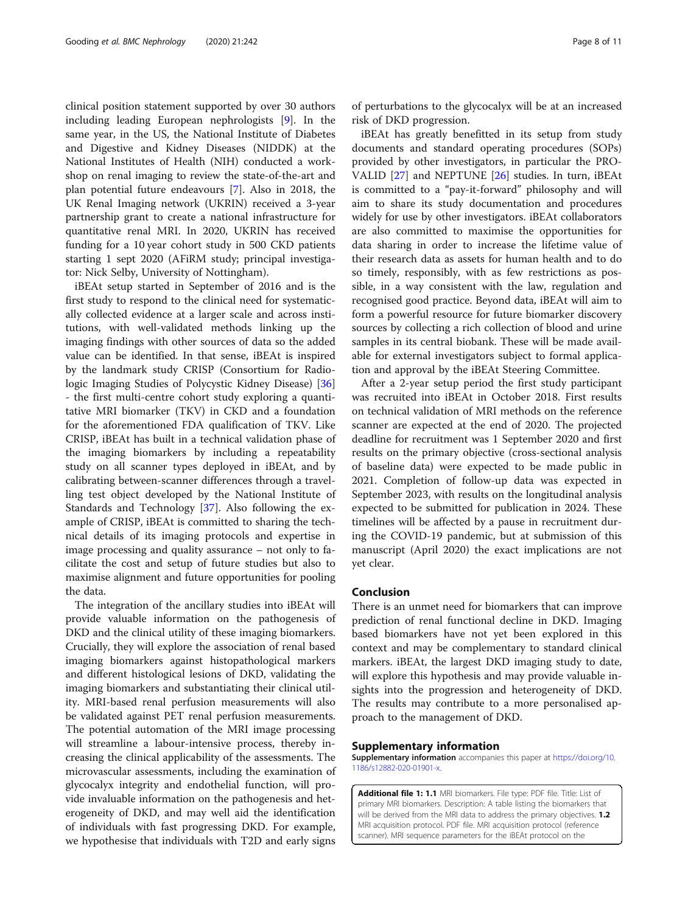<span id="page-7-0"></span>clinical position statement supported by over 30 authors including leading European nephrologists [\[9](#page-9-0)]. In the same year, in the US, the National Institute of Diabetes and Digestive and Kidney Diseases (NIDDK) at the National Institutes of Health (NIH) conducted a workshop on renal imaging to review the state-of-the-art and plan potential future endeavours [[7\]](#page-9-0). Also in 2018, the UK Renal Imaging network (UKRIN) received a 3-year partnership grant to create a national infrastructure for quantitative renal MRI. In 2020, UKRIN has received funding for a 10 year cohort study in 500 CKD patients starting 1 sept 2020 (AFiRM study; principal investigator: Nick Selby, University of Nottingham).

iBEAt setup started in September of 2016 and is the first study to respond to the clinical need for systematically collected evidence at a larger scale and across institutions, with well-validated methods linking up the imaging findings with other sources of data so the added value can be identified. In that sense, iBEAt is inspired by the landmark study CRISP (Consortium for Radiologic Imaging Studies of Polycystic Kidney Disease) [[36](#page-10-0)] - the first multi-centre cohort study exploring a quantitative MRI biomarker (TKV) in CKD and a foundation for the aforementioned FDA qualification of TKV. Like CRISP, iBEAt has built in a technical validation phase of the imaging biomarkers by including a repeatability study on all scanner types deployed in iBEAt, and by calibrating between-scanner differences through a travelling test object developed by the National Institute of Standards and Technology [\[37](#page-10-0)]. Also following the example of CRISP, iBEAt is committed to sharing the technical details of its imaging protocols and expertise in image processing and quality assurance – not only to facilitate the cost and setup of future studies but also to maximise alignment and future opportunities for pooling the data.

The integration of the ancillary studies into iBEAt will provide valuable information on the pathogenesis of DKD and the clinical utility of these imaging biomarkers. Crucially, they will explore the association of renal based imaging biomarkers against histopathological markers and different histological lesions of DKD, validating the imaging biomarkers and substantiating their clinical utility. MRI-based renal perfusion measurements will also be validated against PET renal perfusion measurements. The potential automation of the MRI image processing will streamline a labour-intensive process, thereby increasing the clinical applicability of the assessments. The microvascular assessments, including the examination of glycocalyx integrity and endothelial function, will provide invaluable information on the pathogenesis and heterogeneity of DKD, and may well aid the identification of individuals with fast progressing DKD. For example, we hypothesise that individuals with T2D and early signs

of perturbations to the glycocalyx will be at an increased risk of DKD progression.

iBEAt has greatly benefitted in its setup from study documents and standard operating procedures (SOPs) provided by other investigators, in particular the PRO-VALID [\[27\]](#page-9-0) and NEPTUNE [\[26](#page-9-0)] studies. In turn, iBEAt is committed to a "pay-it-forward" philosophy and will aim to share its study documentation and procedures widely for use by other investigators. iBEAt collaborators are also committed to maximise the opportunities for data sharing in order to increase the lifetime value of their research data as assets for human health and to do so timely, responsibly, with as few restrictions as possible, in a way consistent with the law, regulation and recognised good practice. Beyond data, iBEAt will aim to form a powerful resource for future biomarker discovery sources by collecting a rich collection of blood and urine samples in its central biobank. These will be made available for external investigators subject to formal application and approval by the iBEAt Steering Committee.

After a 2-year setup period the first study participant was recruited into iBEAt in October 2018. First results on technical validation of MRI methods on the reference scanner are expected at the end of 2020. The projected deadline for recruitment was 1 September 2020 and first results on the primary objective (cross-sectional analysis of baseline data) were expected to be made public in 2021. Completion of follow-up data was expected in September 2023, with results on the longitudinal analysis expected to be submitted for publication in 2024. These timelines will be affected by a pause in recruitment during the COVID-19 pandemic, but at submission of this manuscript (April 2020) the exact implications are not yet clear.

#### Conclusion

There is an unmet need for biomarkers that can improve prediction of renal functional decline in DKD. Imaging based biomarkers have not yet been explored in this context and may be complementary to standard clinical markers. iBEAt, the largest DKD imaging study to date, will explore this hypothesis and may provide valuable insights into the progression and heterogeneity of DKD. The results may contribute to a more personalised approach to the management of DKD.

#### Supplementary information

Supplementary information accompanies this paper at [https://doi.org/10.](https://doi.org/10.1186/s12882-020-01901-x) [1186/s12882-020-01901-x.](https://doi.org/10.1186/s12882-020-01901-x)

Additional file 1: 1.1 MRI biomarkers. File type: PDF file. Title: List of primary MRI biomarkers. Description: A table listing the biomarkers that will be derived from the MRI data to address the primary objectives. 1.2 MRI acquisition protocol. PDF file. MRI acquisition protocol (reference scanner). MRI sequence parameters for the iBEAt protocol on the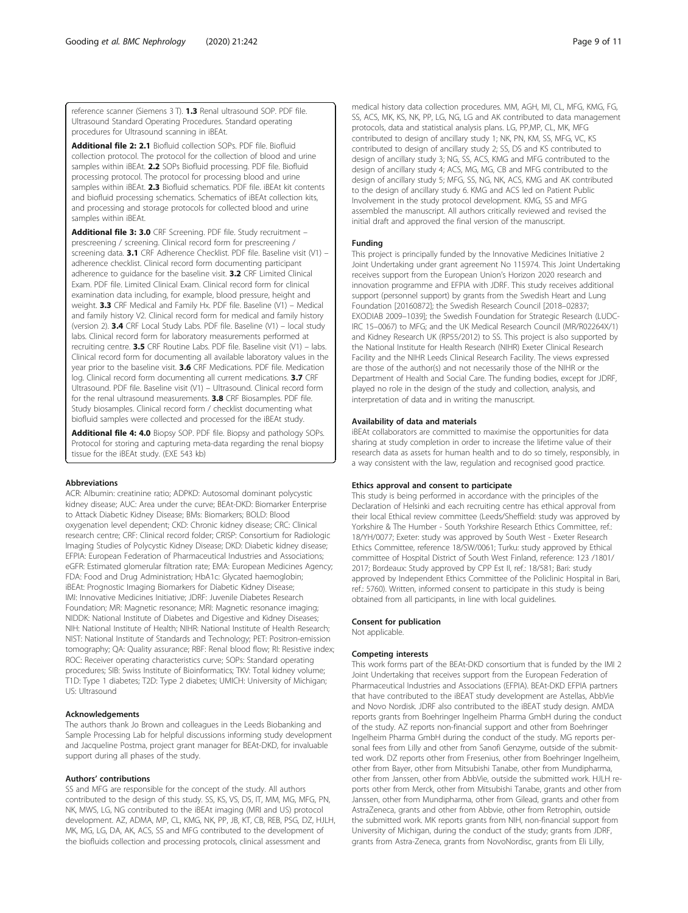<span id="page-8-0"></span>reference scanner (Siemens 3 T). 1.3 Renal ultrasound SOP. PDF file. Ultrasound Standard Operating Procedures. Standard operating procedures for Ultrasound scanning in iBEAt.

Additional file 2: 2.1 Biofluid collection SOPs. PDF file. Biofluid collection protocol. The protocol for the collection of blood and urine samples within iBEAt. 2.2 SOPs Biofluid processing. PDF file. Biofluid processing protocol. The protocol for processing blood and urine samples within iBEAt. 2.3 Biofluid schematics. PDF file. iBEAt kit contents and biofluid processing schematics. Schematics of iBEAt collection kits, and processing and storage protocols for collected blood and urine samples within iBEAt.

Additional file 3: 3.0 CRF Screening. PDF file. Study recruitment prescreening / screening. Clinical record form for prescreening / screening data. 3.1 CRF Adherence Checklist. PDF file. Baseline visit (V1) adherence checklist. Clinical record form documenting participant adherence to quidance for the baseline visit. **3.2** CRF Limited Clinical Exam. PDF file. Limited Clinical Exam. Clinical record form for clinical examination data including, for example, blood pressure, height and weight. 3.3 CRF Medical and Family Hx. PDF file. Baseline (V1) – Medical and family history V2. Clinical record form for medical and family history (version 2). 3.4 CRF Local Study Labs. PDF file. Baseline (V1) – local study labs. Clinical record form for laboratory measurements performed at recruiting centre. 3.5 CRF Routine Labs. PDF file. Baseline visit (V1) – labs. Clinical record form for documenting all available laboratory values in the year prior to the baseline visit. 3.6 CRF Medications. PDF file. Medication log. Clinical record form documenting all current medications. 3.7 CRF Ultrasound. PDF file. Baseline visit (V1) – Ultrasound. Clinical record form for the renal ultrasound measurements. 3.8 CRF Biosamples. PDF file. Study biosamples. Clinical record form / checklist documenting what biofluid samples were collected and processed for the iBEAt study.

Additional file 4: 4.0 Biopsy SOP. PDF file. Biopsy and pathology SOPs. Protocol for storing and capturing meta-data regarding the renal biopsy tissue for the iBEAt study. (EXE 543 kb)

#### Abbreviations

ACR: Albumin: creatinine ratio; ADPKD: Autosomal dominant polycystic kidney disease; AUC: Area under the curve; BEAt-DKD: Biomarker Enterprise to Attack Diabetic Kidney Disease; BMs: Biomarkers; BOLD: Blood oxygenation level dependent; CKD: Chronic kidney disease; CRC: Clinical research centre; CRF: Clinical record folder; CRISP: Consortium for Radiologic Imaging Studies of Polycystic Kidney Disease; DKD: Diabetic kidney disease; EFPIA: European Federation of Pharmaceutical Industries and Associations; eGFR: Estimated glomerular filtration rate; EMA: European Medicines Agency; FDA: Food and Drug Administration; HbA1c: Glycated haemoglobin; iBEAt: Prognostic Imaging Biomarkers for Diabetic Kidney Disease; IMI: Innovative Medicines Initiative; JDRF: Juvenile Diabetes Research Foundation; MR: Magnetic resonance; MRI: Magnetic resonance imaging; NIDDK: National Institute of Diabetes and Digestive and Kidney Diseases; NIH: National Institute of Health; NIHR: National Institute of Health Research; NIST: National Institute of Standards and Technology; PET: Positron-emission tomography; QA: Quality assurance; RBF: Renal blood flow; RI: Resistive index; ROC: Receiver operating characteristics curve; SOPs: Standard operating procedures; SIB: Swiss Institute of Bioinformatics; TKV: Total kidney volume; T1D: Type 1 diabetes; T2D: Type 2 diabetes; UMICH: University of Michigan; US: Ultrasound

#### Acknowledgements

The authors thank Jo Brown and colleagues in the Leeds Biobanking and Sample Processing Lab for helpful discussions informing study development and Jacqueline Postma, project grant manager for BEAt-DKD, for invaluable support during all phases of the study.

#### Authors' contributions

SS and MFG are responsible for the concept of the study. All authors contributed to the design of this study. SS, KS, VS, DS, IT, MM, MG, MFG, PN, NK, MWS, LG, NG contributed to the iBEAt imaging (MRI and US) protocol development. AZ, ADMA, MP, CL, KMG, NK, PP, JB, KT, CB, REB, PSG, DZ, HJLH, MK, MG, LG, DA, AK, ACS, SS and MFG contributed to the development of the biofluids collection and processing protocols, clinical assessment and

medical history data collection procedures. MM, AGH, MI, CL, MFG, KMG, FG, SS, ACS, MK, KS, NK, PP, LG, NG, LG and AK contributed to data management protocols, data and statistical analysis plans. LG, PP,MP, CL, MK, MFG contributed to design of ancillary study 1; NK, PN, KM, SS, MFG, VC, KS contributed to design of ancillary study 2; SS, DS and KS contributed to design of ancillary study 3; NG, SS, ACS, KMG and MFG contributed to the design of ancillary study 4; ACS, MG, MG, CB and MFG contributed to the design of ancillary study 5; MFG, SS, NG, NK, ACS, KMG and AK contributed to the design of ancillary study 6. KMG and ACS led on Patient Public Involvement in the study protocol development. KMG, SS and MFG assembled the manuscript. All authors critically reviewed and revised the initial draft and approved the final version of the manuscript.

#### Funding

This project is principally funded by the Innovative Medicines Initiative 2 Joint Undertaking under grant agreement No 115974. This Joint Undertaking receives support from the European Union's Horizon 2020 research and innovation programme and EFPIA with JDRF. This study receives additional support (personnel support) by grants from the Swedish Heart and Lung Foundation [20160872]; the Swedish Research Council [2018–02837; EXODIAB 2009–1039]; the Swedish Foundation for Strategic Research (LUDC-IRC 15–0067) to MFG; and the UK Medical Research Council (MR/R02264X/1) and Kidney Research UK (RP55/2012) to SS. This project is also supported by the National Institute for Health Research (NIHR) Exeter Clinical Research Facility and the NIHR Leeds Clinical Research Facility. The views expressed are those of the author(s) and not necessarily those of the NIHR or the Department of Health and Social Care. The funding bodies, except for JDRF, played no role in the design of the study and collection, analysis, and interpretation of data and in writing the manuscript.

#### Availability of data and materials

iBEAt collaborators are committed to maximise the opportunities for data sharing at study completion in order to increase the lifetime value of their research data as assets for human health and to do so timely, responsibly, in a way consistent with the law, regulation and recognised good practice.

#### Ethics approval and consent to participate

This study is being performed in accordance with the principles of the Declaration of Helsinki and each recruiting centre has ethical approval from their local Ethical review committee (Leeds/Sheffield: study was approved by Yorkshire & The Humber - South Yorkshire Research Ethics Committee, ref.: 18/YH/0077; Exeter: study was approved by South West - Exeter Research Ethics Committee, reference 18/SW/0061; Turku: study approved by Ethical committee of Hospital District of South West Finland, reference: 123 /1801/ 2017; Bordeaux: Study approved by CPP Est II, ref.: 18/581; Bari: study approved by Independent Ethics Committee of the Policlinic Hospital in Bari, ref.: 5760). Written, informed consent to participate in this study is being obtained from all participants, in line with local guidelines.

#### Consent for publication

Not applicable.

#### Competing interests

This work forms part of the BEAt-DKD consortium that is funded by the IMI 2 Joint Undertaking that receives support from the European Federation of Pharmaceutical Industries and Associations (EFPIA). BEAt-DKD EFPIA partners that have contributed to the iBEAT study development are Astellas, AbbVie and Novo Nordisk. JDRF also contributed to the iBEAT study design. AMDA reports grants from Boehringer Ingelheim Pharma GmbH during the conduct of the study. AZ reports non-financial support and other from Boehringer Ingelheim Pharma GmbH during the conduct of the study. MG reports personal fees from Lilly and other from Sanofi Genzyme, outside of the submitted work. DZ reports other from Fresenius, other from Boehringer Ingelheim, other from Bayer, other from Mitsubishi Tanabe, other from Mundipharma, other from Janssen, other from AbbVie, outside the submitted work. HJLH reports other from Merck, other from Mitsubishi Tanabe, grants and other from Janssen, other from Mundipharma, other from Gilead, grants and other from AstraZeneca, grants and other from Abbvie, other from Retrophin, outside the submitted work. MK reports grants from NIH, non-financial support from University of Michigan, during the conduct of the study; grants from JDRF, grants from Astra-Zeneca, grants from NovoNordisc, grants from Eli Lilly,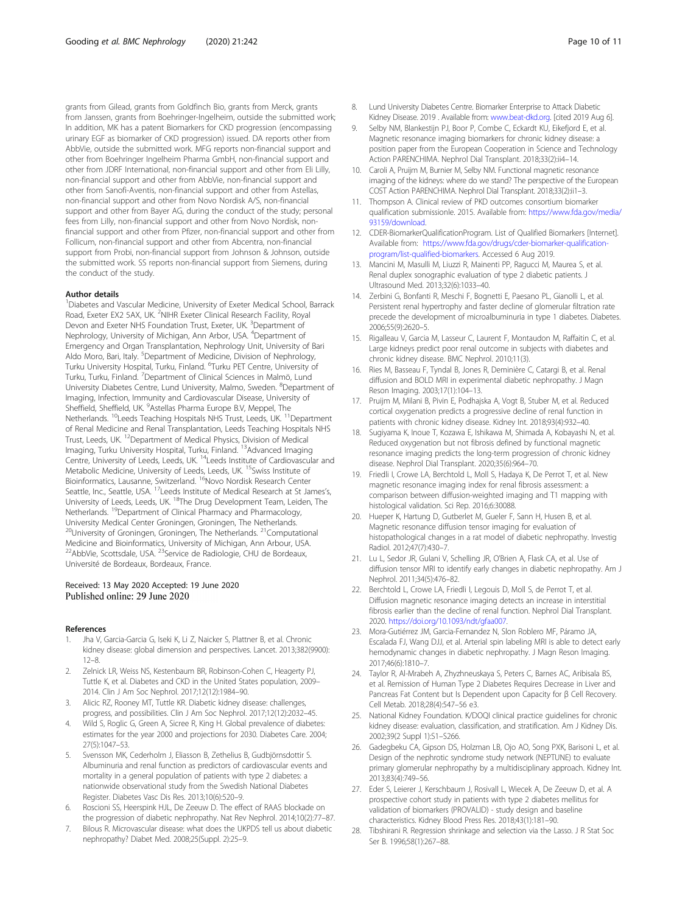<span id="page-9-0"></span>grants from Gilead, grants from Goldfinch Bio, grants from Merck, grants from Janssen, grants from Boehringer-Ingelheim, outside the submitted work; In addition, MK has a patent Biomarkers for CKD progression (encompassing urinary EGF as biomarker of CKD progression) issued. DA reports other from AbbVie, outside the submitted work. MFG reports non-financial support and other from Boehringer Ingelheim Pharma GmbH, non-financial support and other from JDRF International, non-financial support and other from Eli Lilly, non-financial support and other from AbbVie, non-financial support and other from Sanofi-Aventis, non-financial support and other from Astellas, non-financial support and other from Novo Nordisk A/S, non-financial support and other from Bayer AG, during the conduct of the study; personal fees from Lilly, non-financial support and other from Novo Nordisk, nonfinancial support and other from Pfizer, non-financial support and other from Follicum, non-financial support and other from Abcentra, non-financial support from Probi, non-financial support from Johnson & Johnson, outside the submitted work. SS reports non-financial support from Siemens, during the conduct of the study.

#### Author details

<sup>1</sup>Diabetes and Vascular Medicine, University of Exeter Medical School, Barrack Road, Exeter EX2 5AX, UK. <sup>2</sup>NIHR Exeter Clinical Research Facility, Royal Devon and Exeter NHS Foundation Trust, Exeter, UK. <sup>3</sup>Department of Nephrology, University of Michigan, Ann Arbor, USA. <sup>4</sup>Department of Emergency and Organ Transplantation, Nephrology Unit, University of Bari Aldo Moro, Bari, Italy. <sup>5</sup>Department of Medicine, Division of Nephrology, Turku University Hospital, Turku, Finland. <sup>6</sup>Turku PET Centre, University of Turku, Turku, Finland. <sup>7</sup>Department of Clinical Sciences in Malmö, Lund University Diabetes Centre, Lund University, Malmo, Sweden. <sup>8</sup>Department of Imaging, Infection, Immunity and Cardiovascular Disease, University of Sheffield, Sheffield, UK. <sup>9</sup>Astellas Pharma Europe B.V, Meppel, The Netherlands. <sup>10</sup>Leeds Teaching Hospitals NHS Trust, Leeds, UK. <sup>11</sup>Department of Renal Medicine and Renal Transplantation, Leeds Teaching Hospitals NHS Trust, Leeds, UK. 12Department of Medical Physics, Division of Medical Imaging, Turku University Hospital, Turku, Finland. <sup>13</sup>Advanced Imaging Centre, University of Leeds, Leeds, UK. 14Leeds Institute of Cardiovascular and Metabolic Medicine, University of Leeds, Leeds, UK. <sup>15</sup>Swiss Institute of Bioinformatics, Lausanne, Switzerland. <sup>16</sup>Novo Nordisk Research Center Seattle, Inc., Seattle, USA. 17Leeds Institute of Medical Research at St James's, University of Leeds, Leeds, UK. 18The Drug Development Team, Leiden, The Netherlands. 19Department of Clinical Pharmacy and Pharmacology, University Medical Center Groningen, Groningen, The Netherlands. <sup>20</sup>University of Groningen, Groningen, The Netherlands. <sup>21</sup>Computational Medicine and Bioinformatics, University of Michigan, Ann Arbour, USA.<br><sup>22</sup>AbbVie, Scottsdale, USA. <sup>23</sup>Service de Radiologie, CHU de Bordeaux, Université de Bordeaux, Bordeaux, France.

#### Received: 13 May 2020 Accepted: 19 June 2020 Published online: 29 June 2020

#### References

- 1. Jha V, Garcia-Garcia G, Iseki K, Li Z, Naicker S, Plattner B, et al. Chronic kidney disease: global dimension and perspectives. Lancet. 2013;382(9900): 12–8.
- 2. Zelnick LR, Weiss NS, Kestenbaum BR, Robinson-Cohen C, Heagerty PJ, Tuttle K, et al. Diabetes and CKD in the United States population, 2009– 2014. Clin J Am Soc Nephrol. 2017;12(12):1984–90.
- 3. Alicic RZ, Rooney MT, Tuttle KR. Diabetic kidney disease: challenges, progress, and possibilities. Clin J Am Soc Nephrol. 2017;12(12):2032–45.
- Wild S, Roglic G, Green A, Sicree R, King H. Global prevalence of diabetes: estimates for the year 2000 and projections for 2030. Diabetes Care. 2004; 27(5):1047–53.
- 5. Svensson MK, Cederholm J, Eliasson B, Zethelius B, Gudbjörnsdottir S. Albuminuria and renal function as predictors of cardiovascular events and mortality in a general population of patients with type 2 diabetes: a nationwide observational study from the Swedish National Diabetes Register. Diabetes Vasc Dis Res. 2013;10(6):520–9.
- Roscioni SS, Heerspink HJL, De Zeeuw D. The effect of RAAS blockade on the progression of diabetic nephropathy. Nat Rev Nephrol. 2014;10(2):77–87.
- 7. Bilous R. Microvascular disease: what does the UKPDS tell us about diabetic nephropathy? Diabet Med. 2008;25(Suppl. 2):25–9.
- 8. Lund University Diabetes Centre. Biomarker Enterprise to Attack Diabetic Kidney Disease. 2019 . Available from: [www.beat-dkd.org](http://www.beat-dkd.org). [cited 2019 Aug 6].
- 9. Selby NM, Blankestiin PJ, Boor P, Combe C, Eckardt KU, Eikefjord E, et al. Magnetic resonance imaging biomarkers for chronic kidney disease: a position paper from the European Cooperation in Science and Technology Action PARENCHIMA. Nephrol Dial Transplant. 2018;33(2):ii4–14.
- 10. Caroli A, Pruijm M, Burnier M, Selby NM. Functional magnetic resonance imaging of the kidneys: where do we stand? The perspective of the European COST Action PARENCHIMA. Nephrol Dial Transplant. 2018;33(2):ii1–3.
- 11. Thompson A. Clinical review of PKD outcomes consortium biomarker qualification submissionle. 2015. Available from: [https://www.fda.gov/media/](https://www.fda.gov/media/93159/download) [93159/download](https://www.fda.gov/media/93159/download).
- 12. CDER-BiomarkerQualificationProgram. List of Qualified Biomarkers [Internet]. Available from: [https://www.fda.gov/drugs/cder-biomarker-qualification](https://www.fda.gov/drugs/cder-biomarker-qualification-program/list-qualified-biomarkers)[program/list-qualified-biomarkers](https://www.fda.gov/drugs/cder-biomarker-qualification-program/list-qualified-biomarkers). Accessed 6 Aug 2019.
- 13. Mancini M, Masulli M, Liuzzi R, Mainenti PP, Ragucci M, Maurea S, et al. Renal duplex sonographic evaluation of type 2 diabetic patients. J Ultrasound Med. 2013;32(6):1033–40.
- 14. Zerbini G, Bonfanti R, Meschi F, Bognetti E, Paesano PL, Gianolli L, et al. Persistent renal hypertrophy and faster decline of glomerular filtration rate precede the development of microalbuminuria in type 1 diabetes. Diabetes. 2006;55(9):2620–5.
- 15. Rigalleau V, Garcia M, Lasseur C, Laurent F, Montaudon M, Raffaitin C, et al. Large kidneys predict poor renal outcome in subjects with diabetes and chronic kidney disease. BMC Nephrol. 2010;11(3).
- 16. Ries M, Basseau F, Tyndal B, Jones R, Deminière C, Catargi B, et al. Renal diffusion and BOLD MRI in experimental diabetic nephropathy. J Magn Reson Imaging. 2003;17(1):104–13.
- 17. Pruijm M, Milani B, Pivin E, Podhajska A, Vogt B, Stuber M, et al. Reduced cortical oxygenation predicts a progressive decline of renal function in patients with chronic kidney disease. Kidney Int. 2018;93(4):932–40.
- 18. Sugiyama K, Inoue T, Kozawa E, Ishikawa M, Shimada A, Kobayashi N, et al. Reduced oxygenation but not fibrosis defined by functional magnetic resonance imaging predicts the long-term progression of chronic kidney disease. Nephrol Dial Transplant. 2020;35(6):964–70.
- 19. Friedli I, Crowe LA, Berchtold L, Moll S, Hadaya K, De Perrot T, et al. New magnetic resonance imaging index for renal fibrosis assessment: a comparison between diffusion-weighted imaging and T1 mapping with histological validation. Sci Rep. 2016;6:30088.
- 20. Hueper K, Hartung D, Gutberlet M, Gueler F, Sann H, Husen B, et al. Magnetic resonance diffusion tensor imaging for evaluation of histopathological changes in a rat model of diabetic nephropathy. Investig Radiol. 2012;47(7):430–7.
- 21. Lu L, Sedor JR, Gulani V, Schelling JR, O'Brien A, Flask CA, et al. Use of diffusion tensor MRI to identify early changes in diabetic nephropathy. Am J Nephrol. 2011;34(5):476–82.
- 22. Berchtold L, Crowe LA, Friedli I, Legouis D, Moll S, de Perrot T, et al. Diffusion magnetic resonance imaging detects an increase in interstitial fibrosis earlier than the decline of renal function. Nephrol Dial Transplant. 2020. <https://doi.org/10.1093/ndt/gfaa007>.
- 23. Mora-Gutiérrez JM, Garcia-Fernandez N, Slon Roblero MF, Páramo JA, Escalada FJ, Wang DJJ, et al. Arterial spin labeling MRI is able to detect early hemodynamic changes in diabetic nephropathy. J Magn Reson Imaging. 2017;46(6):1810–7.
- 24. Taylor R, Al-Mrabeh A, Zhyzhneuskaya S, Peters C, Barnes AC, Aribisala BS, et al. Remission of Human Type 2 Diabetes Requires Decrease in Liver and Pancreas Fat Content but Is Dependent upon Capacity for β Cell Recovery. Cell Metab. 2018;28(4):547–56 e3.
- 25. National Kidney Foundation. K/DOQI clinical practice guidelines for chronic kidney disease: evaluation, classification, and stratification. Am J Kidney Dis. 2002;39(2 Suppl 1):S1–S266.
- 26. Gadegbeku CA, Gipson DS, Holzman LB, Ojo AO, Song PXK, Barisoni L, et al. Design of the nephrotic syndrome study network (NEPTUNE) to evaluate primary glomerular nephropathy by a multidisciplinary approach. Kidney Int. 2013;83(4):749–56.
- 27. Eder S, Leierer J, Kerschbaum J, Rosivall L, Wiecek A, De Zeeuw D, et al. A prospective cohort study in patients with type 2 diabetes mellitus for validation of biomarkers (PROVALID) - study design and baseline characteristics. Kidney Blood Press Res. 2018;43(1):181–90.
- 28. Tibshirani R. Regression shrinkage and selection via the Lasso. J R Stat Soc Ser B. 1996;58(1):267–88.